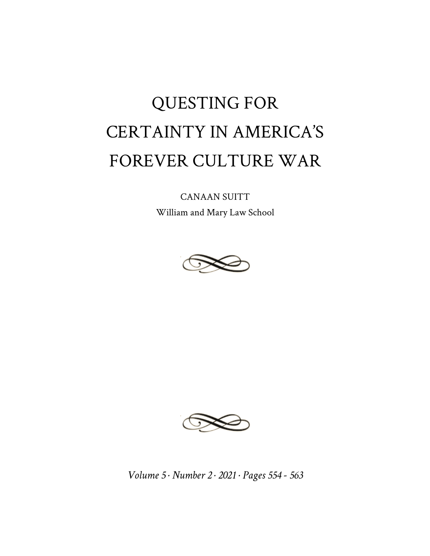## QUESTING FOR CERTAINTY IN AMERICA'S FOREVER CULTURE WAR

## CANAAN SUITT William and Mary Law School





*Volume 5 · Number 2 · 2021 · Pages 554 - 563*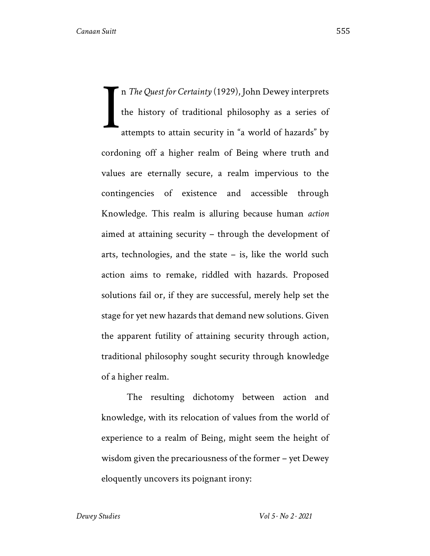n *The Quest for Certainty* (1929), John Dewey interprets the history of traditional philosophy as a series of attempts to attain security in "a world of hazards" by cordoning off a higher realm of Being where truth and values are eternally secure, a realm impervious to the contingencies of existence and accessible through Knowledge. This realm is alluring because human *action* aimed at attaining security – through the development of arts, technologies, and the state  $-$  is, like the world such action aims to remake, riddled with hazards. Proposed solutions fail or, if they are successful, merely help set the stage for yet new hazards that demand new solutions. Given the apparent futility of attaining security through action, traditional philosophy sought security through knowledge of a higher realm. I

The resulting dichotomy between action and knowledge, with its relocation of values from the world of experience to a realm of Being, might seem the height of wisdom given the precariousness of the former – yet Dewey eloquently uncovers its poignant irony: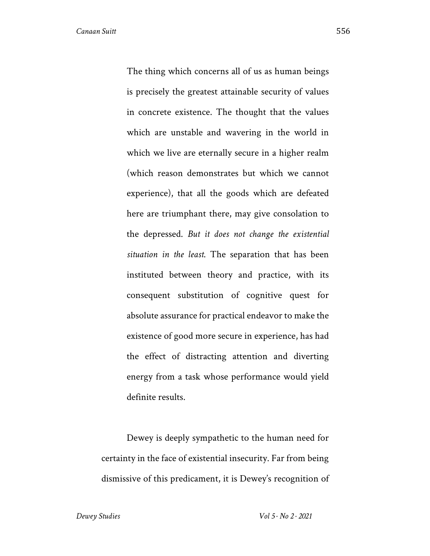The thing which concerns all of us as human beings is precisely the greatest attainable security of values in concrete existence. The thought that the values which are unstable and wavering in the world in which we live are eternally secure in a higher realm (which reason demonstrates but which we cannot experience), that all the goods which are defeated here are triumphant there, may give consolation to the depressed. *But it does not change the existential situation in the least*. The separation that has been instituted between theory and practice, with its consequent substitution of cognitive quest for absolute assurance for practical endeavor to make the existence of good more secure in experience, has had the effect of distracting attention and diverting energy from a task whose performance would yield definite results.

Dewey is deeply sympathetic to the human need for certainty in the face of existential insecurity. Far from being dismissive of this predicament, it is Dewey's recognition of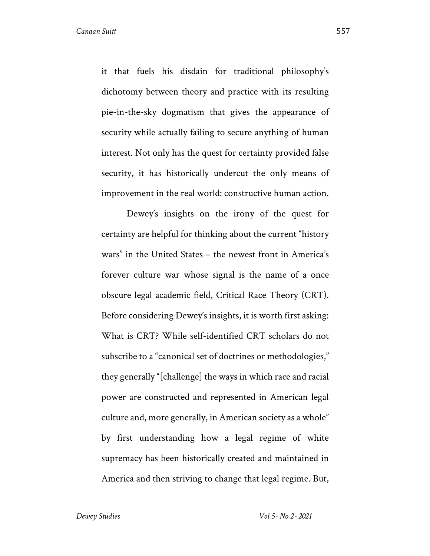it that fuels his disdain for traditional philosophy's dichotomy between theory and practice with its resulting pie-in-the-sky dogmatism that gives the appearance of security while actually failing to secure anything of human interest. Not only has the quest for certainty provided false security, it has historically undercut the only means of improvement in the real world: constructive human action.

Dewey's insights on the irony of the quest for certainty are helpful for thinking about the current "history wars" in the United States – the newest front in America's forever culture war whose signal is the name of a once obscure legal academic field, Critical Race Theory (CRT). Before considering Dewey's insights, it is worth first asking: What is CRT? While self-identified CRT scholars do not subscribe to a "canonical set of doctrines or methodologies," they generally "[challenge] the ways in which race and racial power are constructed and represented in American legal culture and, more generally, in American society as a whole" by first understanding how a legal regime of white supremacy has been historically created and maintained in America and then striving to change that legal regime. But,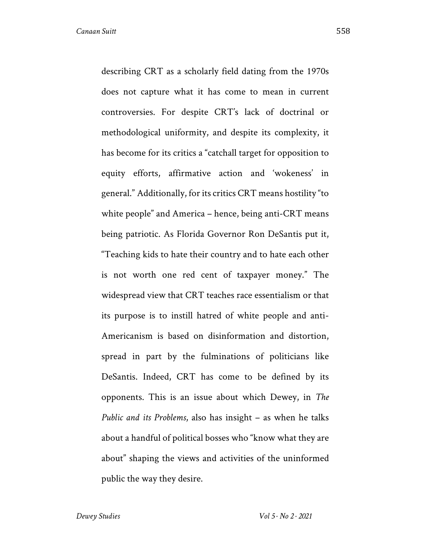describing CRT as a scholarly field dating from the 1970s does not capture what it has come to mean in current controversies. For despite CRT's lack of doctrinal or methodological uniformity, and despite its complexity, it has become for its critics a "catchall target for opposition to equity efforts, affirmative action and 'wokeness' in general." Additionally, for its critics CRT means hostility "to white people" and America – hence, being anti-CRT means being patriotic. As Florida Governor Ron DeSantis put it, "Teaching kids to hate their country and to hate each other is not worth one red cent of taxpayer money." The widespread view that CRT teaches race essentialism or that its purpose is to instill hatred of white people and anti-Americanism is based on disinformation and distortion, spread in part by the fulminations of politicians like DeSantis. Indeed, CRT has come to be defined by its opponents. This is an issue about which Dewey, in *The Public and its Problems*, also has insight – as when he talks about a handful of political bosses who "know what they are about" shaping the views and activities of the uninformed public the way they desire.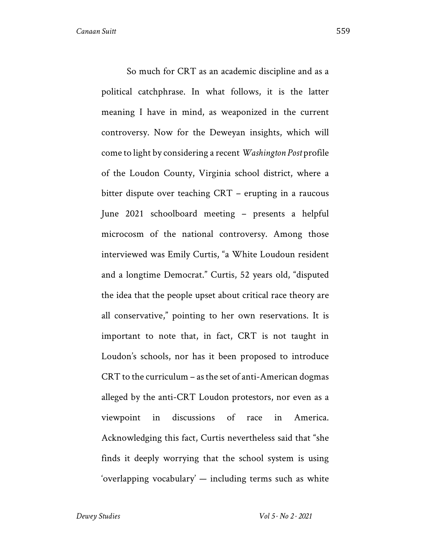So much for CRT as an academic discipline and as a political catchphrase. In what follows, it is the latter meaning I have in mind, as weaponized in the current controversy. Now for the Deweyan insights, which will come to light by considering a recent *Washington Post* profile of the Loudon County, Virginia school district, where a bitter dispute over teaching CRT – erupting in a raucous June 2021 schoolboard meeting – presents a helpful microcosm of the national controversy. Among those interviewed was Emily Curtis, "a White Loudoun resident and a longtime Democrat." Curtis, 52 years old, "disputed the idea that the people upset about critical race theory are all conservative," pointing to her own reservations. It is important to note that, in fact, CRT is not taught in Loudon's schools, nor has it been proposed to introduce CRT to the curriculum – as the set of anti-American dogmas alleged by the anti-CRT Loudon protestors, nor even as a viewpoint in discussions of race in America. Acknowledging this fact, Curtis nevertheless said that "she finds it deeply worrying that the school system is using 'overlapping vocabulary' — including terms such as white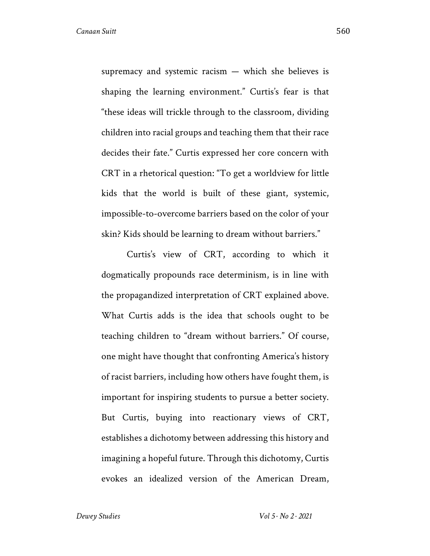supremacy and systemic racism  $-$  which she believes is shaping the learning environment." Curtis's fear is that "these ideas will trickle through to the classroom, dividing children into racial groups and teaching them that their race decides their fate." Curtis expressed her core concern with CRT in a rhetorical question: "To get a worldview for little kids that the world is built of these giant, systemic, impossible-to-overcome barriers based on the color of your skin? Kids should be learning to dream without barriers."

Curtis's view of CRT, according to which it dogmatically propounds race determinism, is in line with the propagandized interpretation of CRT explained above. What Curtis adds is the idea that schools ought to be teaching children to "dream without barriers." Of course, one might have thought that confronting America's history of racist barriers, including how others have fought them, is important for inspiring students to pursue a better society. But Curtis, buying into reactionary views of CRT, establishes a dichotomy between addressing this history and imagining a hopeful future. Through this dichotomy, Curtis evokes an idealized version of the American Dream,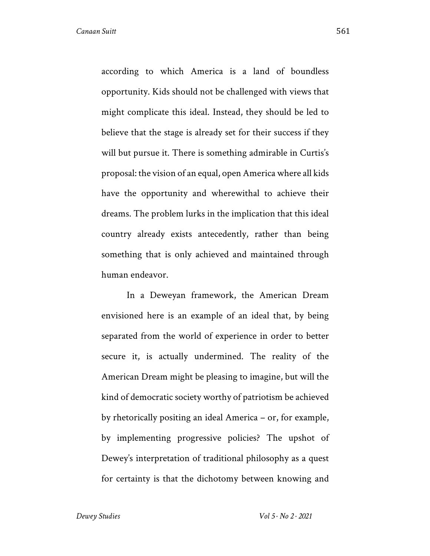according to which America is a land of boundless opportunity. Kids should not be challenged with views that might complicate this ideal. Instead, they should be led to believe that the stage is already set for their success if they will but pursue it. There is something admirable in Curtis's proposal: the vision of an equal, open America where all kids have the opportunity and wherewithal to achieve their dreams. The problem lurks in the implication that this ideal country already exists antecedently, rather than being something that is only achieved and maintained through human endeavor.

In a Deweyan framework, the American Dream envisioned here is an example of an ideal that, by being separated from the world of experience in order to better secure it, is actually undermined. The reality of the American Dream might be pleasing to imagine, but will the kind of democratic society worthy of patriotism be achieved by rhetorically positing an ideal America – or, for example, by implementing progressive policies? The upshot of Dewey's interpretation of traditional philosophy as a quest for certainty is that the dichotomy between knowing and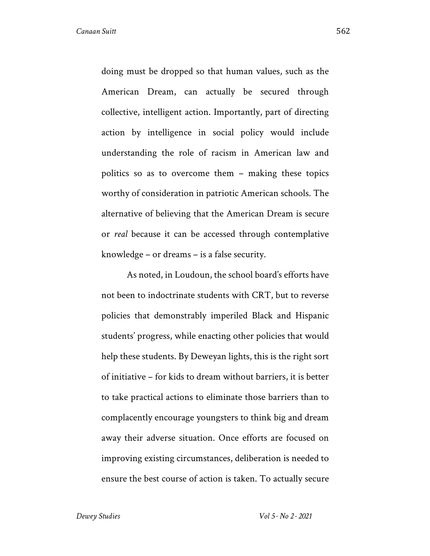doing must be dropped so that human values, such as the American Dream, can actually be secured through collective, intelligent action. Importantly, part of directing action by intelligence in social policy would include understanding the role of racism in American law and politics so as to overcome them – making these topics worthy of consideration in patriotic American schools. The alternative of believing that the American Dream is secure or *real* because it can be accessed through contemplative knowledge – or dreams – is a false security.

As noted, in Loudoun, the school board's efforts have not been to indoctrinate students with CRT, but to reverse policies that demonstrably imperiled Black and Hispanic students' progress, while enacting other policies that would help these students. By Deweyan lights, this is the right sort of initiative – for kids to dream without barriers, it is better to take practical actions to eliminate those barriers than to complacently encourage youngsters to think big and dream away their adverse situation. Once efforts are focused on improving existing circumstances, deliberation is needed to ensure the best course of action is taken. To actually secure